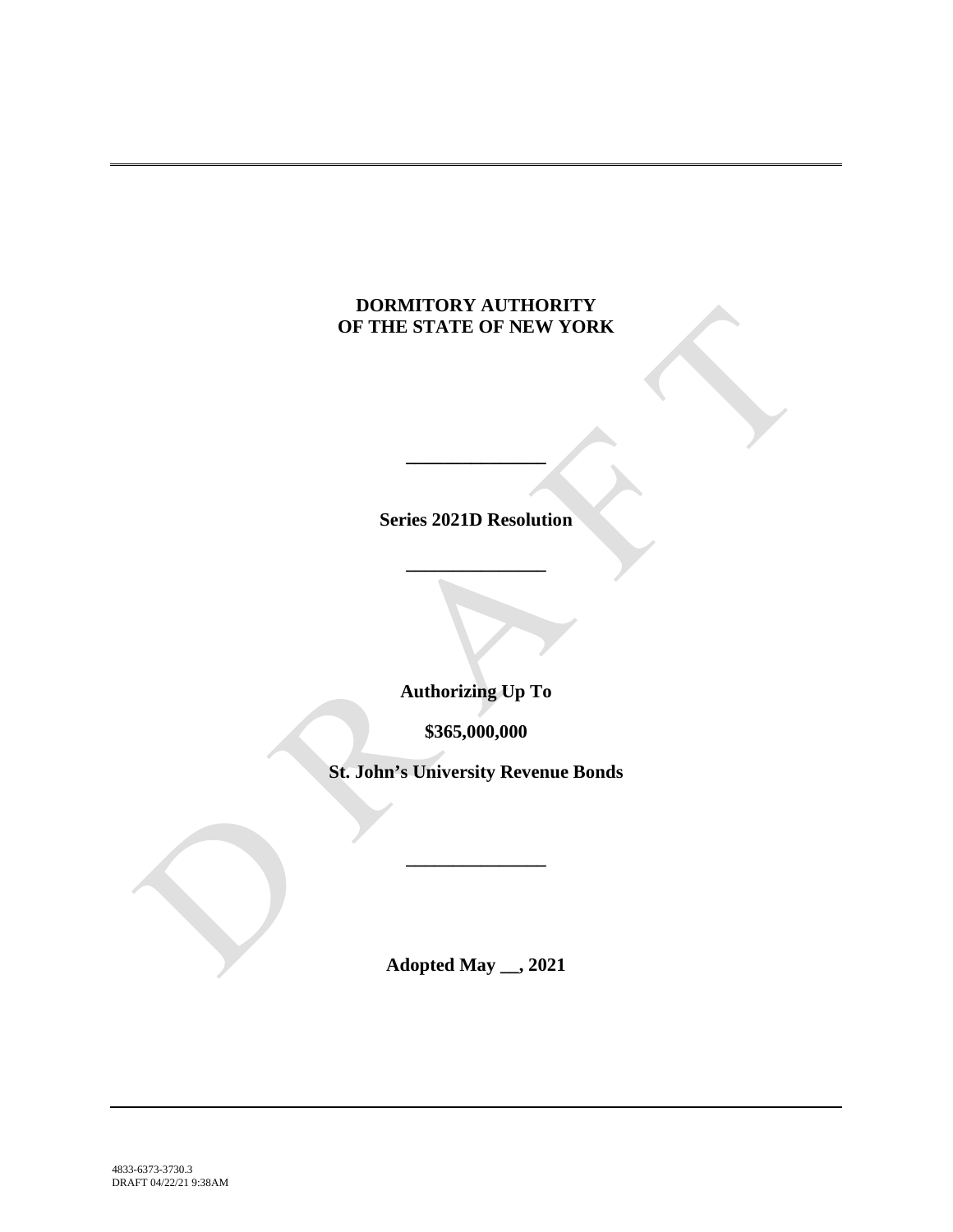# **DORMITORY AUTHORITY OF THE STATE OF NEW YORK**

**Series 2021D Resolution**

**\_\_\_\_\_\_\_\_\_\_\_\_\_\_\_**

**\_\_\_\_\_\_\_\_\_\_\_\_\_\_\_**

**Authorizing Up To**

**\$365,000,000**

**St. John's University Revenue Bonds**

**\_\_\_\_\_\_\_\_\_\_\_\_\_\_\_**

**Adopted May \_\_, 2021**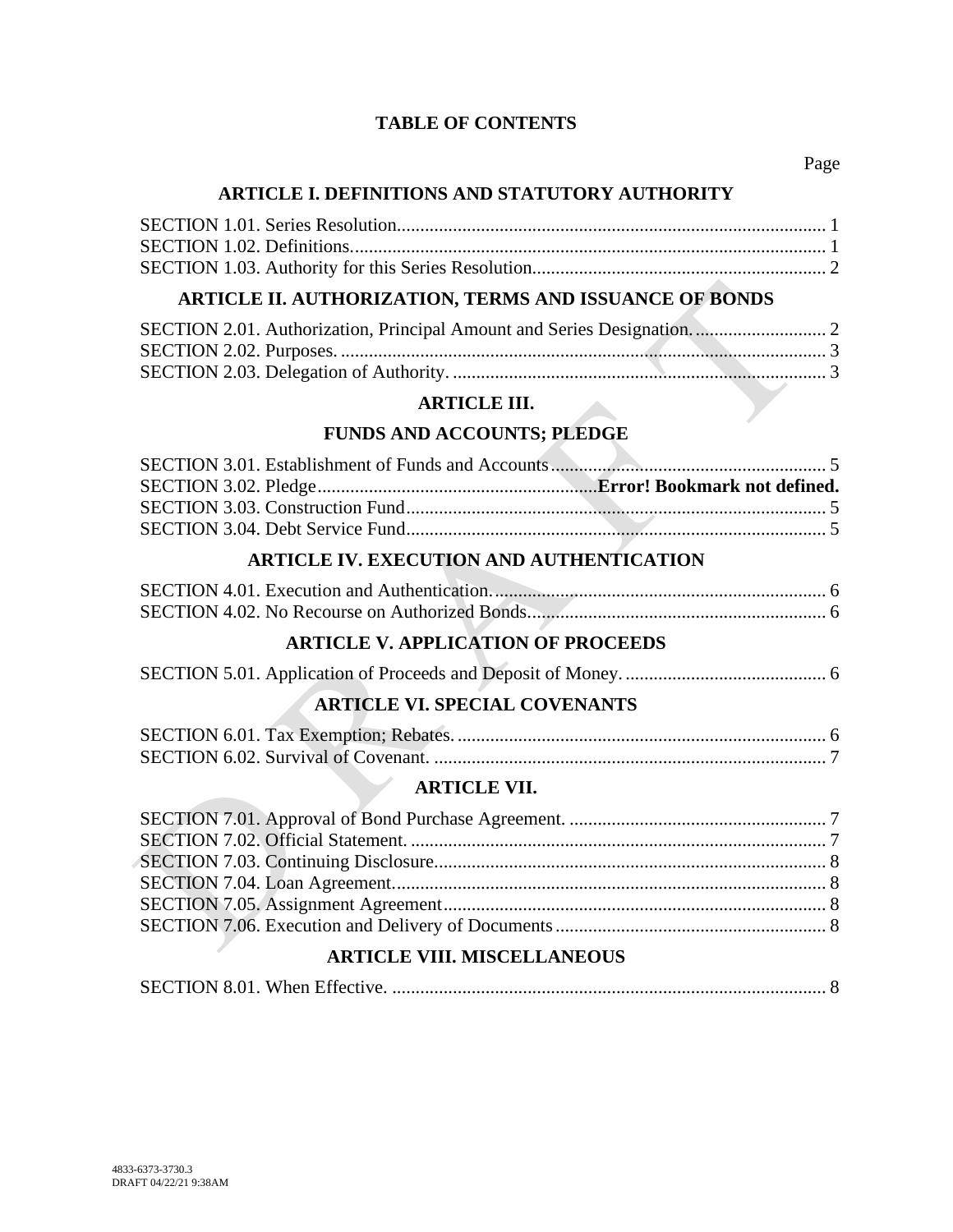### **TABLE OF CONTENTS**

### **ARTICLE I. DEFINITIONS AND STATUTORY AUTHORITY**

# **ARTICLE II. AUTHORIZATION, TERMS AND ISSUANCE OF BONDS**

#### **ARTICLE III.**

## **FUNDS AND ACCOUNTS; PLEDGE**

# **ARTICLE IV. EXECUTION AND AUTHENTICATION**

# **ARTICLE V. APPLICATION OF PROCEEDS**

## **ARTICLE VI. SPECIAL COVENANTS**

### **ARTICLE VII.**

### **ARTICLE VIII. MISCELLANEOUS**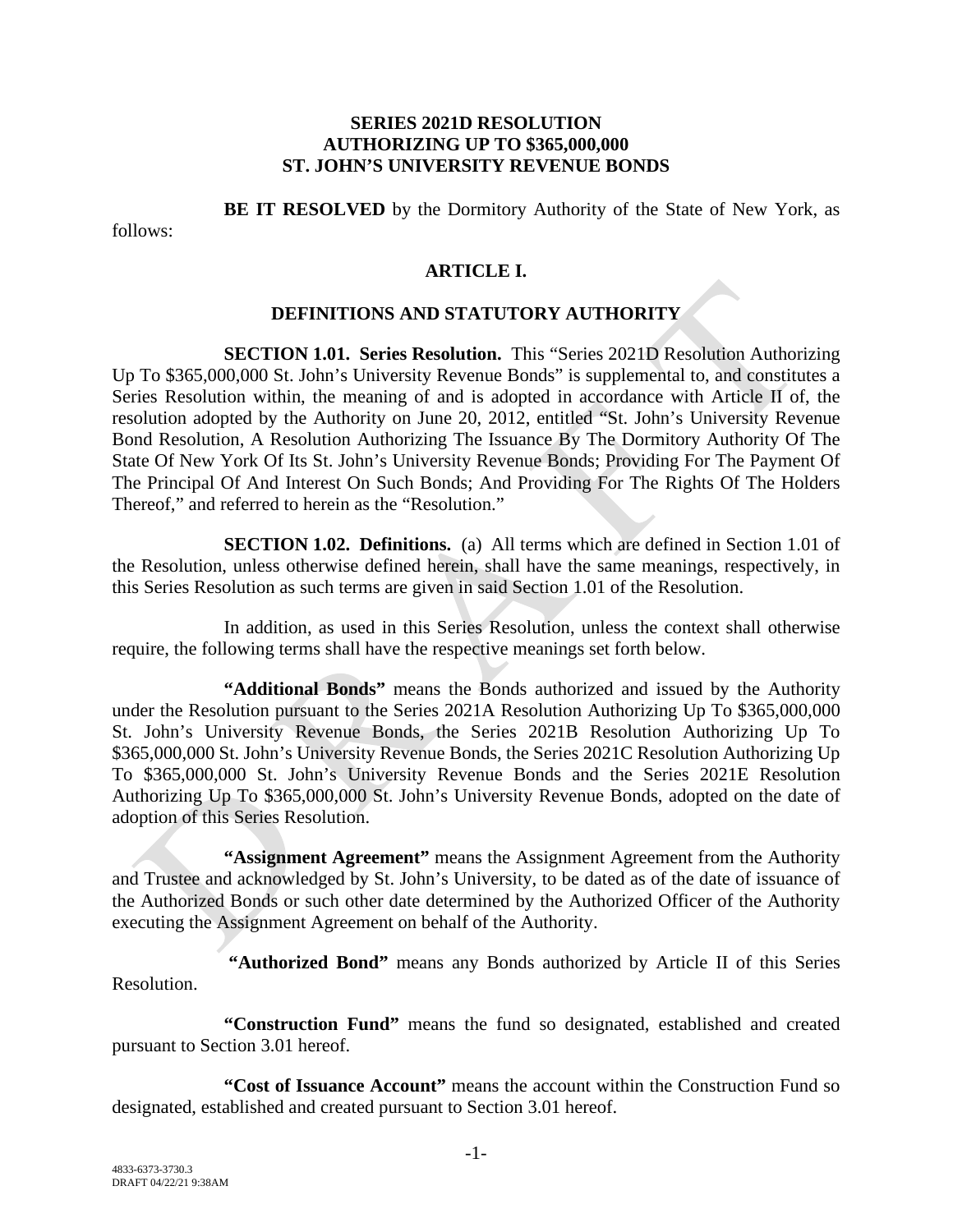#### **SERIES 2021D RESOLUTION AUTHORIZING UP TO \$365,000,000 ST. JOHN'S UNIVERSITY REVENUE BONDS**

**BE IT RESOLVED** by the Dormitory Authority of the State of New York, as

follows:

### **ARTICLE I.**

#### **DEFINITIONS AND STATUTORY AUTHORITY**

**SECTION 1.01. Series Resolution.** This "Series 2021D Resolution Authorizing Up To \$365,000,000 St. John's University Revenue Bonds" is supplemental to, and constitutes a Series Resolution within, the meaning of and is adopted in accordance with Article II of, the resolution adopted by the Authority on June 20, 2012, entitled "St. John's University Revenue Bond Resolution, A Resolution Authorizing The Issuance By The Dormitory Authority Of The State Of New York Of Its St. John's University Revenue Bonds; Providing For The Payment Of The Principal Of And Interest On Such Bonds; And Providing For The Rights Of The Holders Thereof," and referred to herein as the "Resolution."

**SECTION 1.02. Definitions.** (a) All terms which are defined in Section 1.01 of the Resolution, unless otherwise defined herein, shall have the same meanings, respectively, in this Series Resolution as such terms are given in said Section 1.01 of the Resolution.

In addition, as used in this Series Resolution, unless the context shall otherwise require, the following terms shall have the respective meanings set forth below.

**"Additional Bonds"** means the Bonds authorized and issued by the Authority under the Resolution pursuant to the Series 2021A Resolution Authorizing Up To \$365,000,000 St. John's University Revenue Bonds, the Series 2021B Resolution Authorizing Up To \$365,000,000 St. John's University Revenue Bonds, the Series 2021C Resolution Authorizing Up To \$365,000,000 St. John's University Revenue Bonds and the Series 2021E Resolution Authorizing Up To \$365,000,000 St. John's University Revenue Bonds, adopted on the date of adoption of this Series Resolution.

**"Assignment Agreement"** means the Assignment Agreement from the Authority and Trustee and acknowledged by St. John's University, to be dated as of the date of issuance of the Authorized Bonds or such other date determined by the Authorized Officer of the Authority executing the Assignment Agreement on behalf of the Authority.

**"Authorized Bond"** means any Bonds authorized by Article II of this Series Resolution.

**"Construction Fund"** means the fund so designated, established and created pursuant to Section 3.01 hereof.

**"Cost of Issuance Account"** means the account within the Construction Fund so designated, established and created pursuant to Section 3.01 hereof.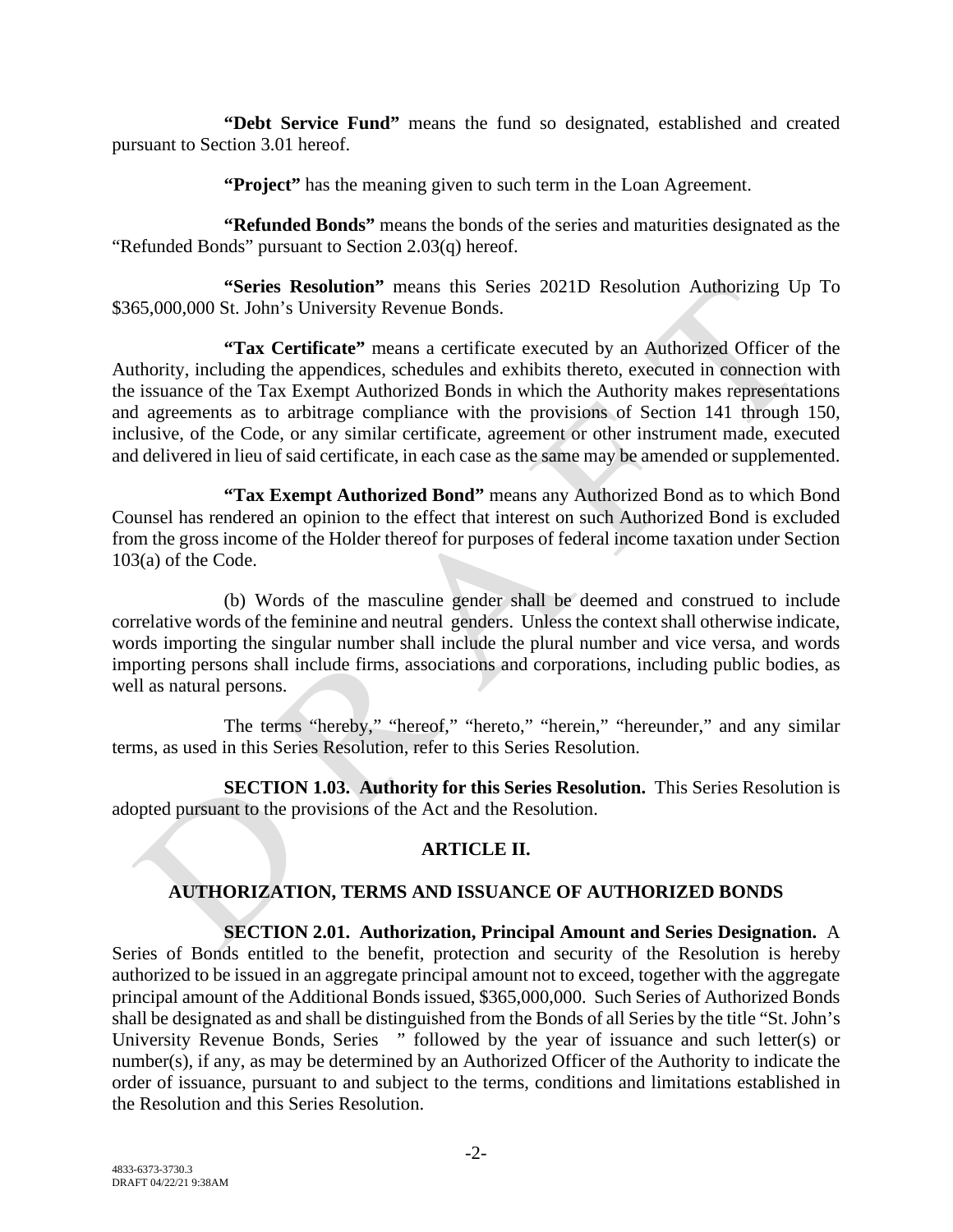**"Debt Service Fund"** means the fund so designated, established and created pursuant to Section 3.01 hereof.

**"Project"** has the meaning given to such term in the Loan Agreement.

**"Refunded Bonds"** means the bonds of the series and maturities designated as the "Refunded Bonds" pursuant to Section 2.03(q) hereof.

**"Series Resolution"** means this Series 2021D Resolution Authorizing Up To \$365,000,000 St. John's University Revenue Bonds.

**"Tax Certificate"** means a certificate executed by an Authorized Officer of the Authority, including the appendices, schedules and exhibits thereto, executed in connection with the issuance of the Tax Exempt Authorized Bonds in which the Authority makes representations and agreements as to arbitrage compliance with the provisions of Section 141 through 150, inclusive, of the Code, or any similar certificate, agreement or other instrument made, executed and delivered in lieu of said certificate, in each case as the same may be amended or supplemented.

**"Tax Exempt Authorized Bond"** means any Authorized Bond as to which Bond Counsel has rendered an opinion to the effect that interest on such Authorized Bond is excluded from the gross income of the Holder thereof for purposes of federal income taxation under Section 103(a) of the Code.

(b) Words of the masculine gender shall be deemed and construed to include correlative words of the feminine and neutral genders. Unless the context shall otherwise indicate, words importing the singular number shall include the plural number and vice versa, and words importing persons shall include firms, associations and corporations, including public bodies, as well as natural persons.

The terms "hereby," "hereof," "hereto," "herein," "hereunder," and any similar terms, as used in this Series Resolution, refer to this Series Resolution.

**SECTION 1.03. Authority for this Series Resolution.** This Series Resolution is adopted pursuant to the provisions of the Act and the Resolution.

# **ARTICLE II.**

# **AUTHORIZATION, TERMS AND ISSUANCE OF AUTHORIZED BONDS**

# **SECTION 2.01. Authorization, Principal Amount and Series Designation.** A

Series of Bonds entitled to the benefit, protection and security of the Resolution is hereby authorized to be issued in an aggregate principal amount not to exceed, together with the aggregate principal amount of the Additional Bonds issued, \$365,000,000. Such Series of Authorized Bonds shall be designated as and shall be distinguished from the Bonds of all Series by the title "St. John's University Revenue Bonds, Series " followed by the year of issuance and such letter(s) or number(s), if any, as may be determined by an Authorized Officer of the Authority to indicate the order of issuance, pursuant to and subject to the terms, conditions and limitations established in the Resolution and this Series Resolution.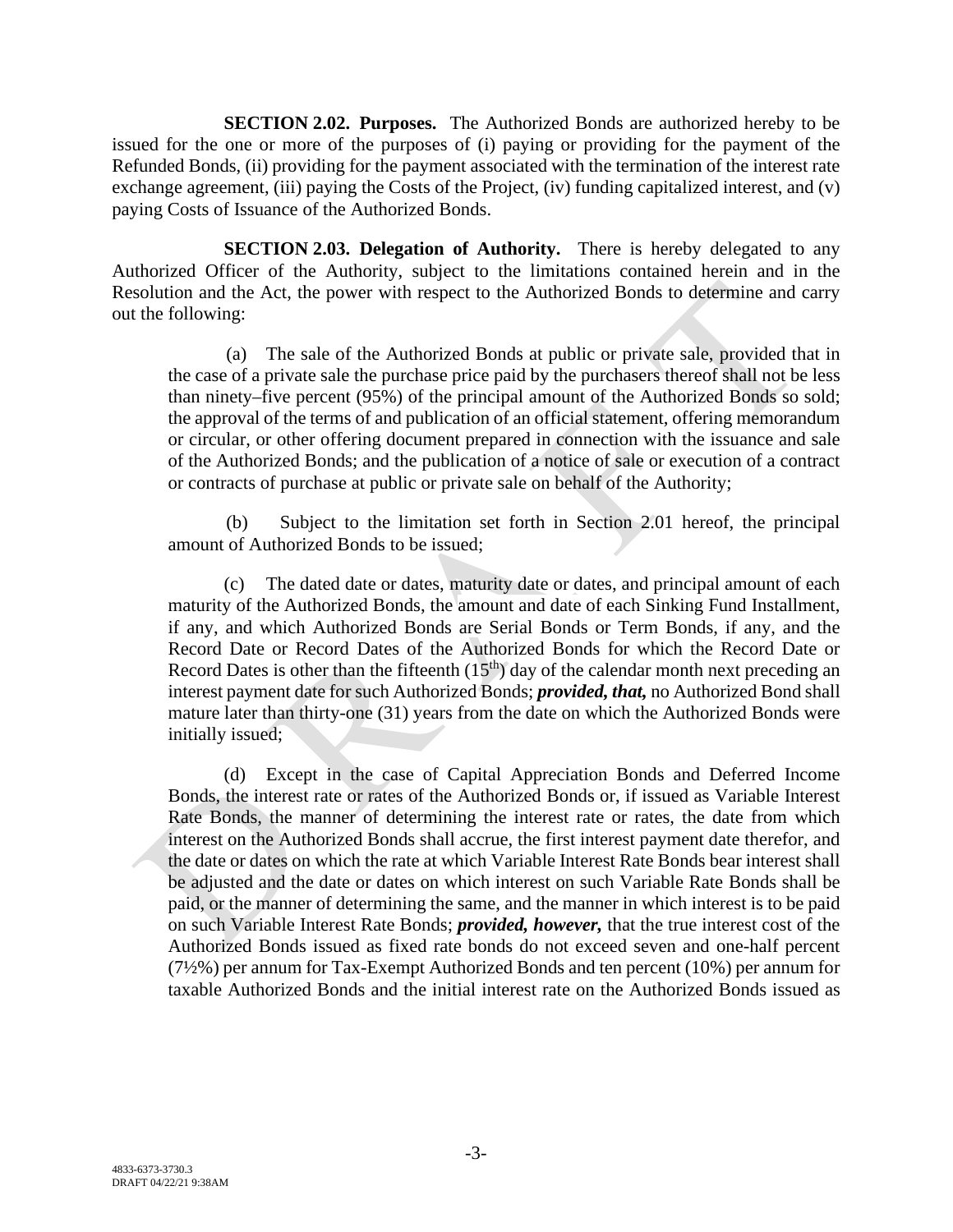**SECTION 2.02. Purposes.** The Authorized Bonds are authorized hereby to be issued for the one or more of the purposes of (i) paying or providing for the payment of the Refunded Bonds, (ii) providing for the payment associated with the termination of the interest rate exchange agreement, (iii) paying the Costs of the Project, (iv) funding capitalized interest, and (v) paying Costs of Issuance of the Authorized Bonds.

**SECTION 2.03. Delegation of Authority.** There is hereby delegated to any Authorized Officer of the Authority, subject to the limitations contained herein and in the Resolution and the Act, the power with respect to the Authorized Bonds to determine and carry out the following:

(a) The sale of the Authorized Bonds at public or private sale, provided that in the case of a private sale the purchase price paid by the purchasers thereof shall not be less than ninety–five percent (95%) of the principal amount of the Authorized Bonds so sold; the approval of the terms of and publication of an official statement, offering memorandum or circular, or other offering document prepared in connection with the issuance and sale of the Authorized Bonds; and the publication of a notice of sale or execution of a contract or contracts of purchase at public or private sale on behalf of the Authority;

(b) Subject to the limitation set forth in Section 2.01 hereof, the principal amount of Authorized Bonds to be issued;

(c) The dated date or dates, maturity date or dates, and principal amount of each maturity of the Authorized Bonds, the amount and date of each Sinking Fund Installment, if any, and which Authorized Bonds are Serial Bonds or Term Bonds, if any, and the Record Date or Record Dates of the Authorized Bonds for which the Record Date or Record Dates is other than the fifteenth  $(15<sup>th</sup>)$  day of the calendar month next preceding an interest payment date for such Authorized Bonds; *provided, that,* no Authorized Bond shall mature later than thirty-one (31) years from the date on which the Authorized Bonds were initially issued;

(d) Except in the case of Capital Appreciation Bonds and Deferred Income Bonds, the interest rate or rates of the Authorized Bonds or, if issued as Variable Interest Rate Bonds, the manner of determining the interest rate or rates, the date from which interest on the Authorized Bonds shall accrue, the first interest payment date therefor, and the date or dates on which the rate at which Variable Interest Rate Bonds bear interest shall be adjusted and the date or dates on which interest on such Variable Rate Bonds shall be paid, or the manner of determining the same, and the manner in which interest is to be paid on such Variable Interest Rate Bonds; *provided, however,* that the true interest cost of the Authorized Bonds issued as fixed rate bonds do not exceed seven and one-half percent (7½%) per annum for Tax-Exempt Authorized Bonds and ten percent (10%) per annum for taxable Authorized Bonds and the initial interest rate on the Authorized Bonds issued as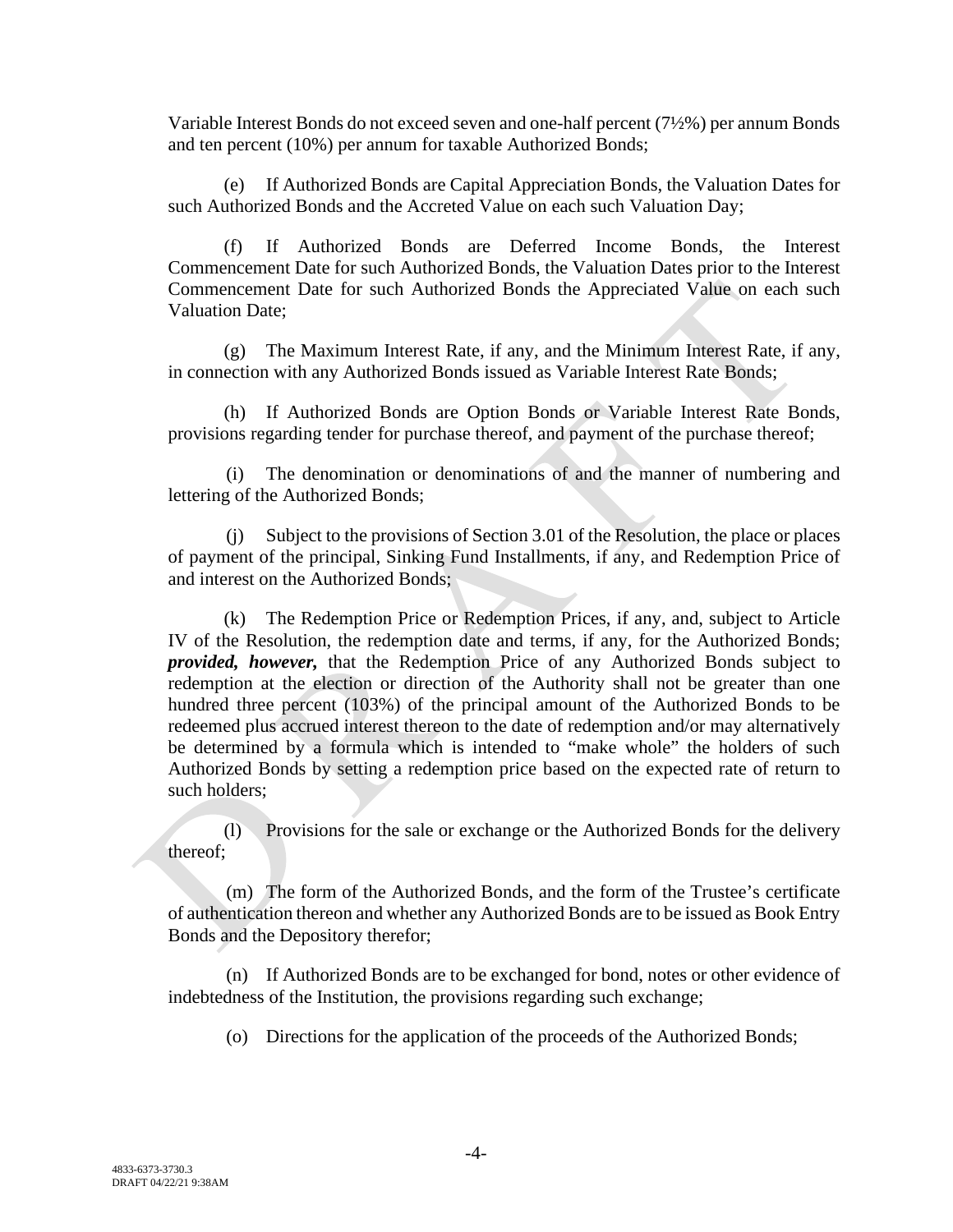Variable Interest Bonds do not exceed seven and one-half percent (7½%) per annum Bonds and ten percent (10%) per annum for taxable Authorized Bonds;

(e) If Authorized Bonds are Capital Appreciation Bonds, the Valuation Dates for such Authorized Bonds and the Accreted Value on each such Valuation Day;

(f) If Authorized Bonds are Deferred Income Bonds, the Interest Commencement Date for such Authorized Bonds, the Valuation Dates prior to the Interest Commencement Date for such Authorized Bonds the Appreciated Value on each such Valuation Date;

(g) The Maximum Interest Rate, if any, and the Minimum Interest Rate, if any, in connection with any Authorized Bonds issued as Variable Interest Rate Bonds;

(h) If Authorized Bonds are Option Bonds or Variable Interest Rate Bonds, provisions regarding tender for purchase thereof, and payment of the purchase thereof;

(i) The denomination or denominations of and the manner of numbering and lettering of the Authorized Bonds;

(j) Subject to the provisions of Section 3.01 of the Resolution, the place or places of payment of the principal, Sinking Fund Installments, if any, and Redemption Price of and interest on the Authorized Bonds;

(k) The Redemption Price or Redemption Prices, if any, and, subject to Article IV of the Resolution, the redemption date and terms, if any, for the Authorized Bonds; *provided, however,* that the Redemption Price of any Authorized Bonds subject to redemption at the election or direction of the Authority shall not be greater than one hundred three percent (103%) of the principal amount of the Authorized Bonds to be redeemed plus accrued interest thereon to the date of redemption and/or may alternatively be determined by a formula which is intended to "make whole" the holders of such Authorized Bonds by setting a redemption price based on the expected rate of return to such holders;

(l) Provisions for the sale or exchange or the Authorized Bonds for the delivery thereof;

(m) The form of the Authorized Bonds, and the form of the Trustee's certificate of authentication thereon and whether any Authorized Bonds are to be issued as Book Entry Bonds and the Depository therefor;

(n) If Authorized Bonds are to be exchanged for bond, notes or other evidence of indebtedness of the Institution, the provisions regarding such exchange;

(o) Directions for the application of the proceeds of the Authorized Bonds;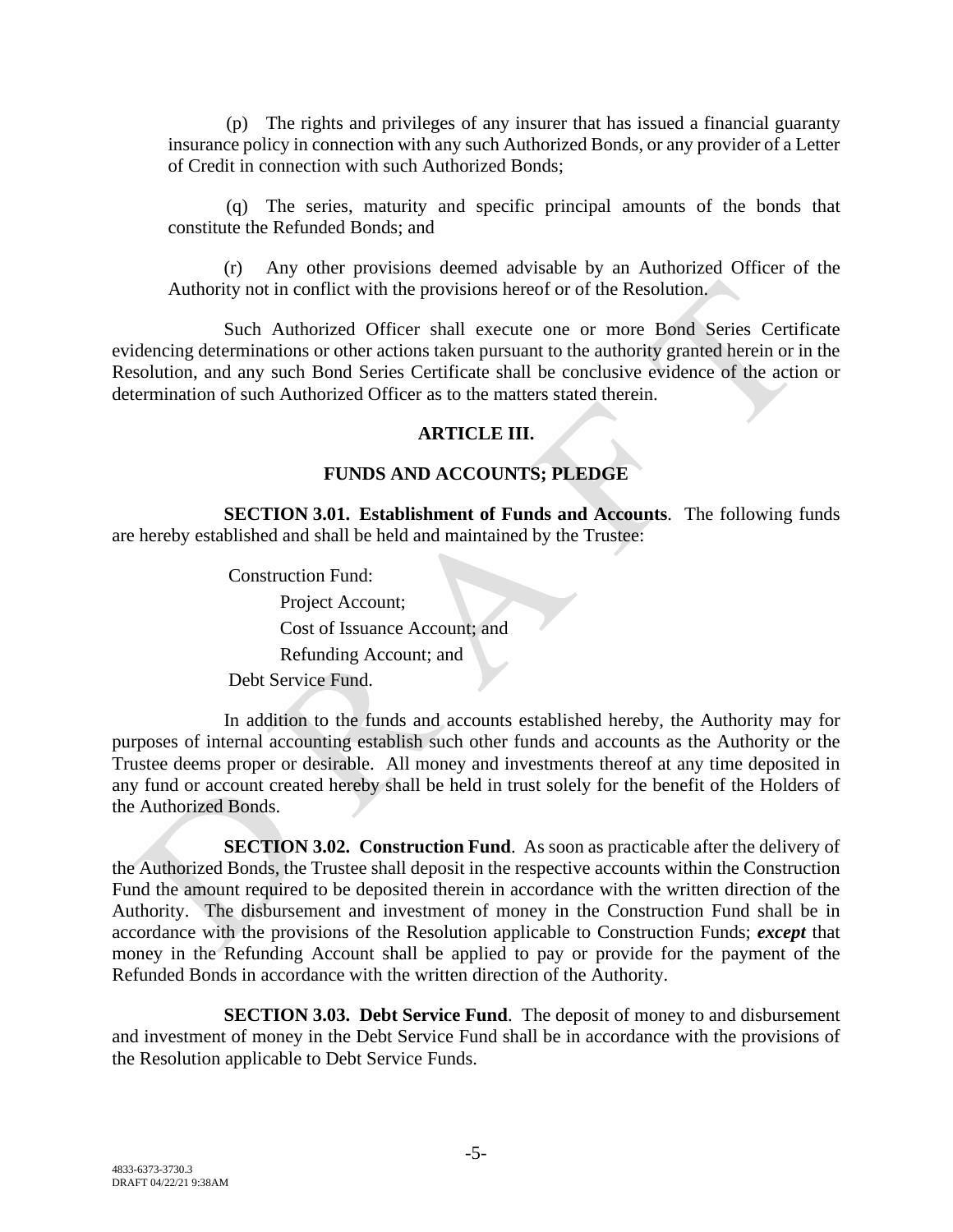(p) The rights and privileges of any insurer that has issued a financial guaranty insurance policy in connection with any such Authorized Bonds, or any provider of a Letter of Credit in connection with such Authorized Bonds;

(q) The series, maturity and specific principal amounts of the bonds that constitute the Refunded Bonds; and

(r) Any other provisions deemed advisable by an Authorized Officer of the Authority not in conflict with the provisions hereof or of the Resolution.

Such Authorized Officer shall execute one or more Bond Series Certificate evidencing determinations or other actions taken pursuant to the authority granted herein or in the Resolution, and any such Bond Series Certificate shall be conclusive evidence of the action or determination of such Authorized Officer as to the matters stated therein.

#### **ARTICLE III.**

### **FUNDS AND ACCOUNTS; PLEDGE**

**SECTION 3.01. Establishment of Funds and Accounts**. The following funds are hereby established and shall be held and maintained by the Trustee:

> Construction Fund: Project Account; Cost of Issuance Account; and Refunding Account; and Debt Service Fund.

In addition to the funds and accounts established hereby, the Authority may for purposes of internal accounting establish such other funds and accounts as the Authority or the Trustee deems proper or desirable. All money and investments thereof at any time deposited in any fund or account created hereby shall be held in trust solely for the benefit of the Holders of the Authorized Bonds.

**SECTION 3.02. Construction Fund**. As soon as practicable after the delivery of the Authorized Bonds, the Trustee shall deposit in the respective accounts within the Construction Fund the amount required to be deposited therein in accordance with the written direction of the Authority. The disbursement and investment of money in the Construction Fund shall be in accordance with the provisions of the Resolution applicable to Construction Funds; *except* that money in the Refunding Account shall be applied to pay or provide for the payment of the Refunded Bonds in accordance with the written direction of the Authority.

**SECTION 3.03. Debt Service Fund**. The deposit of money to and disbursement and investment of money in the Debt Service Fund shall be in accordance with the provisions of the Resolution applicable to Debt Service Funds.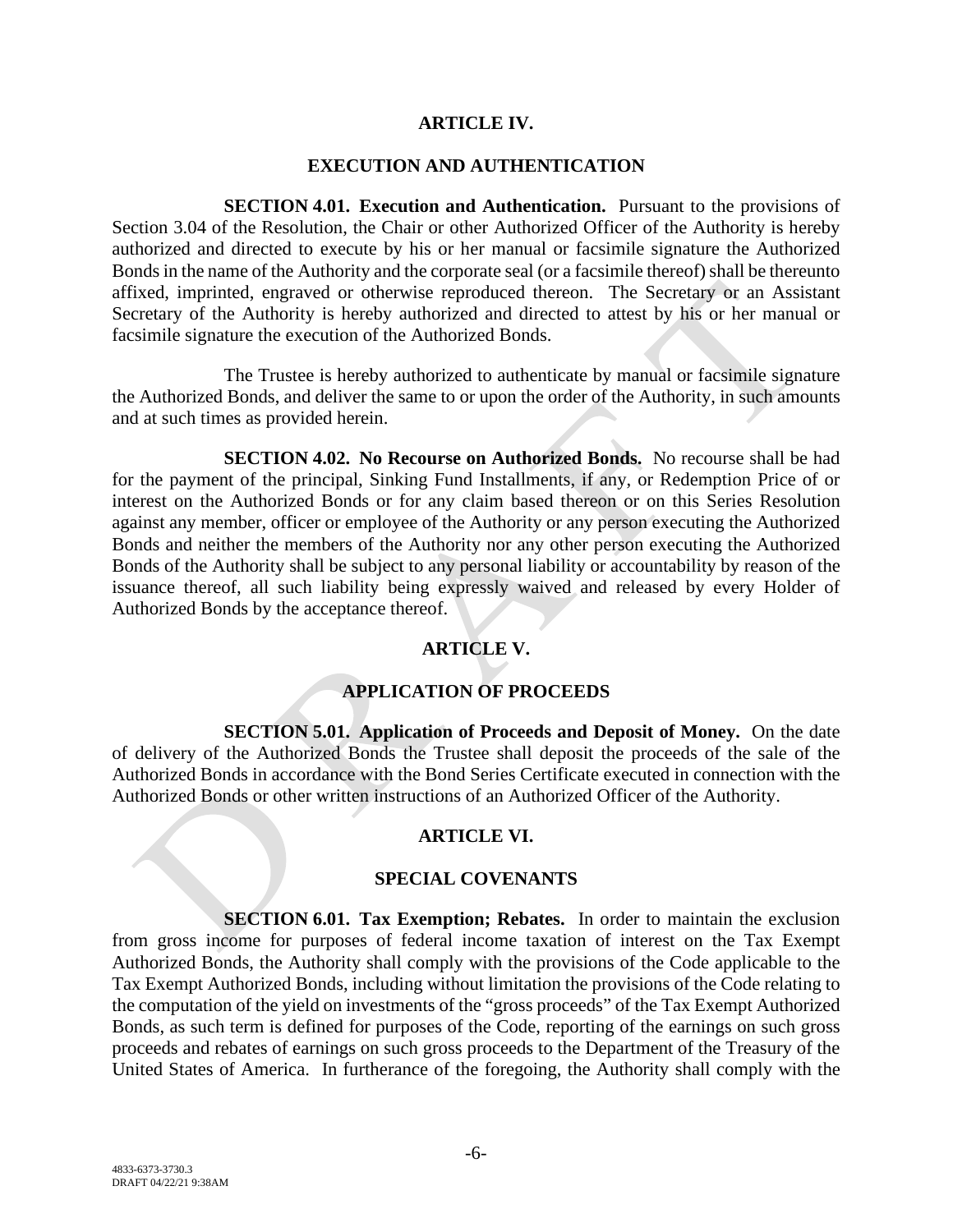#### **ARTICLE IV.**

#### **EXECUTION AND AUTHENTICATION**

**SECTION 4.01. Execution and Authentication.** Pursuant to the provisions of Section 3.04 of the Resolution, the Chair or other Authorized Officer of the Authority is hereby authorized and directed to execute by his or her manual or facsimile signature the Authorized Bonds in the name of the Authority and the corporate seal (or a facsimile thereof) shall be thereunto affixed, imprinted, engraved or otherwise reproduced thereon. The Secretary or an Assistant Secretary of the Authority is hereby authorized and directed to attest by his or her manual or facsimile signature the execution of the Authorized Bonds.

The Trustee is hereby authorized to authenticate by manual or facsimile signature the Authorized Bonds, and deliver the same to or upon the order of the Authority, in such amounts and at such times as provided herein.

**SECTION 4.02. No Recourse on Authorized Bonds.** No recourse shall be had for the payment of the principal, Sinking Fund Installments, if any, or Redemption Price of or interest on the Authorized Bonds or for any claim based thereon or on this Series Resolution against any member, officer or employee of the Authority or any person executing the Authorized Bonds and neither the members of the Authority nor any other person executing the Authorized Bonds of the Authority shall be subject to any personal liability or accountability by reason of the issuance thereof, all such liability being expressly waived and released by every Holder of Authorized Bonds by the acceptance thereof.

### **ARTICLE V.**

### **APPLICATION OF PROCEEDS**

**SECTION 5.01. Application of Proceeds and Deposit of Money.** On the date of delivery of the Authorized Bonds the Trustee shall deposit the proceeds of the sale of the Authorized Bonds in accordance with the Bond Series Certificate executed in connection with the Authorized Bonds or other written instructions of an Authorized Officer of the Authority.

#### **ARTICLE VI.**

#### **SPECIAL COVENANTS**

**SECTION 6.01. Tax Exemption; Rebates.** In order to maintain the exclusion from gross income for purposes of federal income taxation of interest on the Tax Exempt Authorized Bonds, the Authority shall comply with the provisions of the Code applicable to the Tax Exempt Authorized Bonds, including without limitation the provisions of the Code relating to the computation of the yield on investments of the "gross proceeds" of the Tax Exempt Authorized Bonds, as such term is defined for purposes of the Code, reporting of the earnings on such gross proceeds and rebates of earnings on such gross proceeds to the Department of the Treasury of the United States of America. In furtherance of the foregoing, the Authority shall comply with the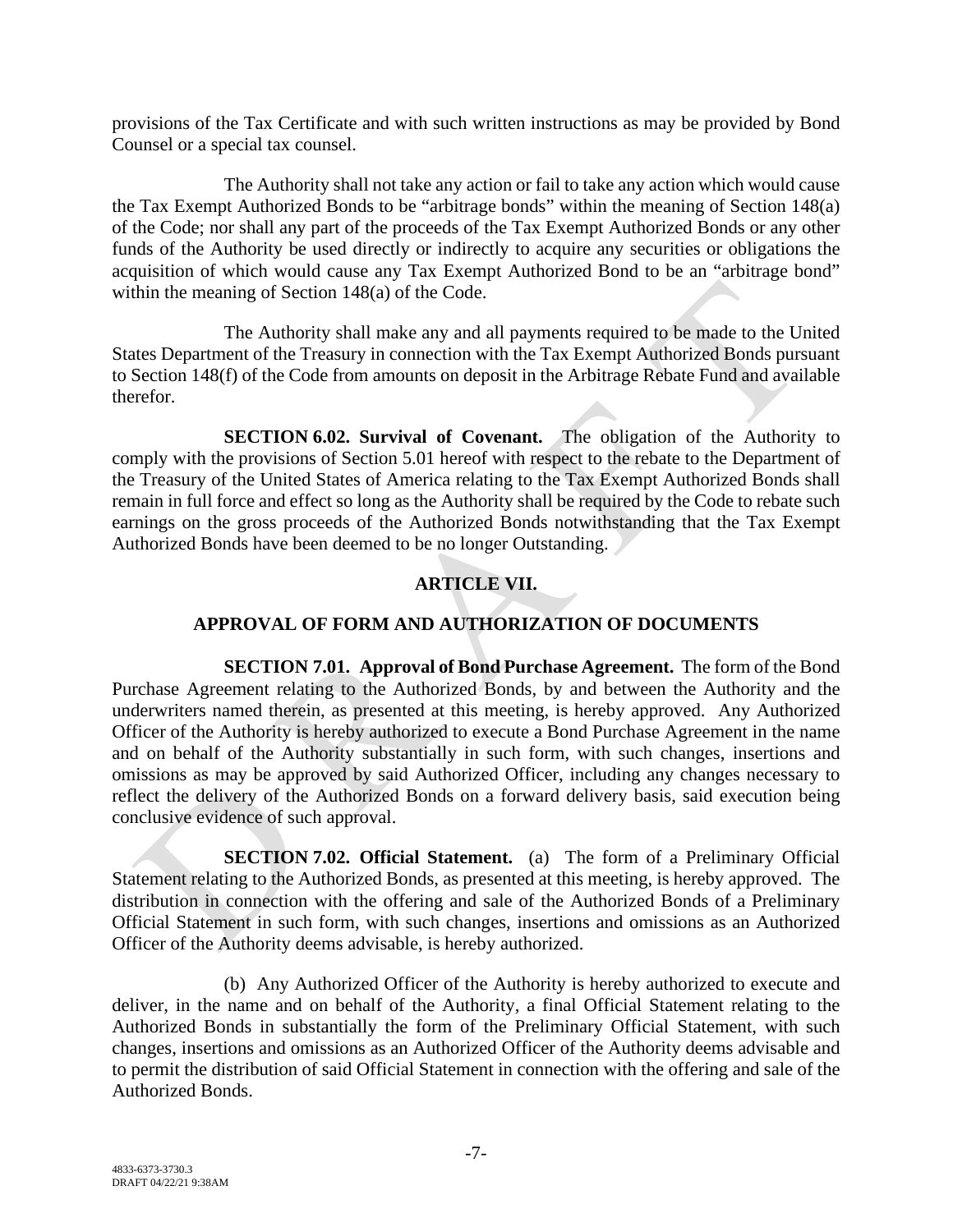provisions of the Tax Certificate and with such written instructions as may be provided by Bond Counsel or a special tax counsel.

The Authority shall not take any action or fail to take any action which would cause the Tax Exempt Authorized Bonds to be "arbitrage bonds" within the meaning of Section 148(a) of the Code; nor shall any part of the proceeds of the Tax Exempt Authorized Bonds or any other funds of the Authority be used directly or indirectly to acquire any securities or obligations the acquisition of which would cause any Tax Exempt Authorized Bond to be an "arbitrage bond" within the meaning of Section 148(a) of the Code.

The Authority shall make any and all payments required to be made to the United States Department of the Treasury in connection with the Tax Exempt Authorized Bonds pursuant to Section 148(f) of the Code from amounts on deposit in the Arbitrage Rebate Fund and available therefor.

**SECTION 6.02. Survival of Covenant.** The obligation of the Authority to comply with the provisions of Section 5.01 hereof with respect to the rebate to the Department of the Treasury of the United States of America relating to the Tax Exempt Authorized Bonds shall remain in full force and effect so long as the Authority shall be required by the Code to rebate such earnings on the gross proceeds of the Authorized Bonds notwithstanding that the Tax Exempt Authorized Bonds have been deemed to be no longer Outstanding.

## **ARTICLE VII.**

# **APPROVAL OF FORM AND AUTHORIZATION OF DOCUMENTS**

**SECTION 7.01. Approval of Bond Purchase Agreement.** The form of the Bond Purchase Agreement relating to the Authorized Bonds, by and between the Authority and the underwriters named therein, as presented at this meeting, is hereby approved. Any Authorized Officer of the Authority is hereby authorized to execute a Bond Purchase Agreement in the name and on behalf of the Authority substantially in such form, with such changes, insertions and omissions as may be approved by said Authorized Officer, including any changes necessary to reflect the delivery of the Authorized Bonds on a forward delivery basis, said execution being conclusive evidence of such approval.

**SECTION 7.02. Official Statement.** (a) The form of a Preliminary Official Statement relating to the Authorized Bonds, as presented at this meeting, is hereby approved. The distribution in connection with the offering and sale of the Authorized Bonds of a Preliminary Official Statement in such form, with such changes, insertions and omissions as an Authorized Officer of the Authority deems advisable, is hereby authorized.

(b) Any Authorized Officer of the Authority is hereby authorized to execute and deliver, in the name and on behalf of the Authority, a final Official Statement relating to the Authorized Bonds in substantially the form of the Preliminary Official Statement, with such changes, insertions and omissions as an Authorized Officer of the Authority deems advisable and to permit the distribution of said Official Statement in connection with the offering and sale of the Authorized Bonds.